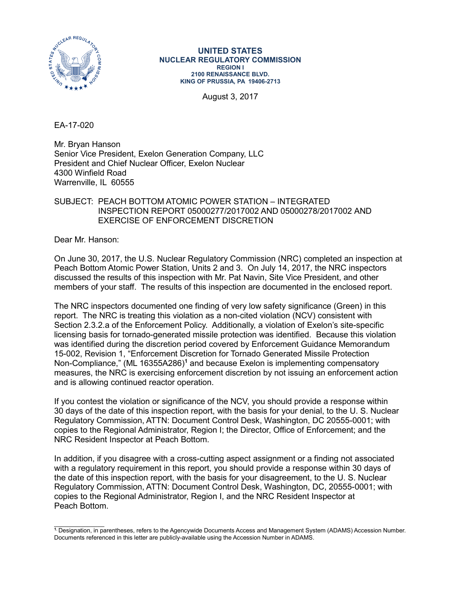

#### **UNITED STATES NUCLEAR REGULATORY COMMISSION REGION I 2100 RENAISSANCE BLVD. KING OF PRUSSIA, PA 19406-2713**

August 3, 2017

EA-17-020

Mr. Bryan Hanson Senior Vice President, Exelon Generation Company, LLC President and Chief Nuclear Officer, Exelon Nuclear 4300 Winfield Road Warrenville, IL 60555

## SUBJECT: PEACH BOTTOM ATOMIC POWER STATION – INTEGRATED INSPECTION REPORT 05000277/2017002 AND 05000278/2017002 AND EXERCISE OF ENFORCEMENT DISCRETION

Dear Mr. Hanson:

On June 30, 2017, the U.S. Nuclear Regulatory Commission (NRC) completed an inspection at Peach Bottom Atomic Power Station, Units 2 and 3. On July 14, 2017, the NRC inspectors discussed the results of this inspection with Mr. Pat Navin, Site Vice President, and other members of your staff. The results of this inspection are documented in the enclosed report.

The NRC inspectors documented one finding of very low safety significance (Green) in this report. The NRC is treating this violation as a non-cited violation (NCV) consistent with Section 2.3.2.a of the Enforcement Policy. Additionally, a violation of Exelon's site-specific licensing basis for tornado-generated missile protection was identified. Because this violation was identified during the discretion period covered by Enforcement Guidance Memorandum 15-002, Revision 1, "Enforcement Discretion for Tornado Generated Missile Protection Non-Compliance," (ML 16355A286)<sup>1</sup> and because Exelon is implementing compensatory measures, the NRC is exercising enforcement discretion by not issuing an enforcement action and is allowing continued reactor operation.

If you contest the violation or significance of the NCV, you should provide a response within 30 days of the date of this inspection report, with the basis for your denial, to the U. S. Nuclear Regulatory Commission, ATTN: Document Control Desk, Washington, DC 20555-0001; with copies to the Regional Administrator, Region I; the Director, Office of Enforcement; and the NRC Resident Inspector at Peach Bottom.

In addition, if you disagree with a cross-cutting aspect assignment or a finding not associated with a regulatory requirement in this report, you should provide a response within 30 days of the date of this inspection report, with the basis for your disagreement, to the U. S. Nuclear Regulatory Commission, ATTN: Document Control Desk, Washington, DC, 20555-0001; with copies to the Regional Administrator, Region I, and the NRC Resident Inspector at Peach Bottom.

\_\_\_\_\_\_\_\_\_\_\_\_\_\_\_ **1.** Designation, in parentheses, refers to the Agencywide Documents Access and Management System (ADAMS) Accession Number. Documents referenced in this letter are publicly-available using the Accession Number in ADAMS.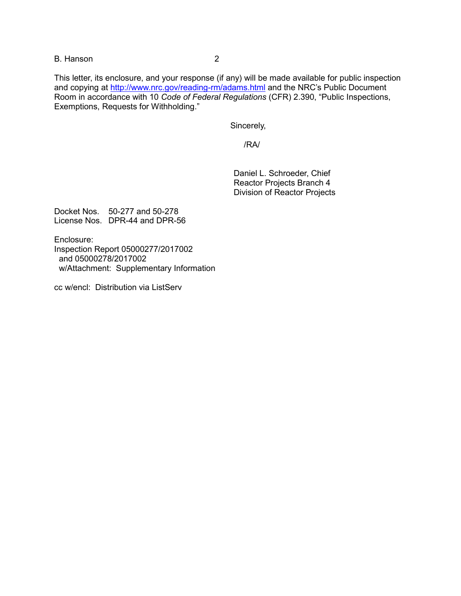B. Hanson 2

This letter, its enclosure, and your response (if any) will be made available for public inspection and copying at<http://www.nrc.gov/reading-rm/adams.html> and the NRC's Public Document Room in accordance with 10 *Code of Federal Regulations* (CFR) 2.390, "Public Inspections, Exemptions, Requests for Withholding."

Sincerely,

/RA/

Daniel L. Schroeder, Chief Reactor Projects Branch 4 Division of Reactor Projects

Docket Nos. 50-277 and 50-278 License Nos. DPR-44 and DPR-56

Enclosure: Inspection Report 05000277/2017002 and 05000278/2017002 w/Attachment: Supplementary Information

cc w/encl: Distribution via ListServ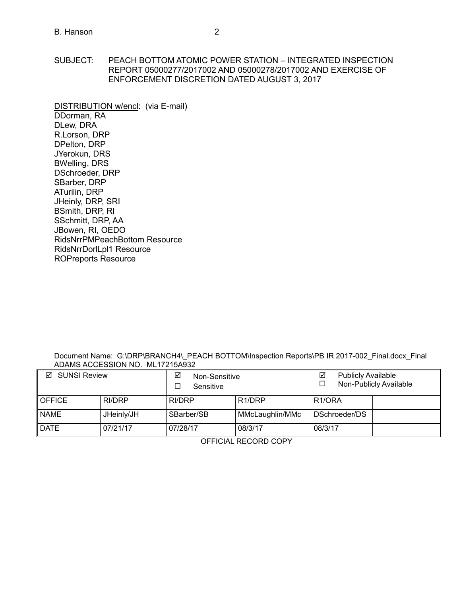SUBJECT: PEACH BOTTOM ATOMIC POWER STATION – INTEGRATED INSPECTION REPORT 05000277/2017002 AND 05000278/2017002 AND EXERCISE OF ENFORCEMENT DISCRETION DATED AUGUST 3, 2017

DISTRIBUTION w/encl: (via E-mail) DDorman, RA DLew, DRA R.Lorson, DRP DPelton, DRP JYerokun, DRS BWelling, DRS DSchroeder, DRP SBarber, DRP ATurilin, DRP JHeinly, DRP, SRI BSmith, DRP, RI SSchmitt, DRP, AA JBowen, RI, OEDO RidsNrrPMPeachBottom Resource RidsNrrDorlLpl1 Resource [ROPreports Reso](mailto:ROPreportsResource@nrc.gov)urce

Document Name: G:\DRP\BRANCH4\\_PEACH BOTTOM\Inspection Reports\PB IR 2017-002\_Final.docx\_Final ADAMS ACCESSION NO. ML17215A932

| ☑<br><b>SUNSI Review</b> |            | ☑<br>Non-Sensitive<br>Sensitive |                     | ☑<br><b>Publicly Available</b><br>Non-Publicly Available |  |
|--------------------------|------------|---------------------------------|---------------------|----------------------------------------------------------|--|
| <b>OFFICE</b>            | RI/DRP     | RI/DRP                          | R <sub>1</sub> /DRP | R <sub>1/ORA</sub>                                       |  |
| <b>NAME</b>              | JHeinly/JH | SBarber/SB                      | MMcLaughlin/MMc     | DSchroeder/DS                                            |  |
| <b>DATE</b>              | 07/21/17   | 07/28/17                        | 08/3/17             | 08/3/17                                                  |  |

OFFICIAL RECORD COPY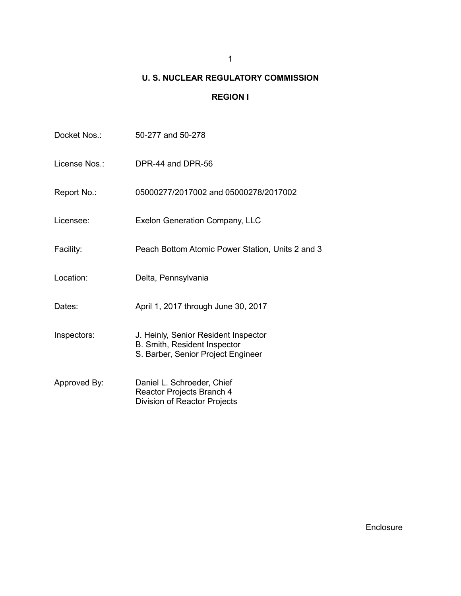## 1

# **U. S. NUCLEAR REGULATORY COMMISSION**

## **REGION I**

| Docket Nos.:  | 50-277 and 50-278                                                                                          |
|---------------|------------------------------------------------------------------------------------------------------------|
| License Nos.: | DPR-44 and DPR-56                                                                                          |
| Report No.:   | 05000277/2017002 and 05000278/2017002                                                                      |
| Licensee:     | <b>Exelon Generation Company, LLC</b>                                                                      |
| Facility:     | Peach Bottom Atomic Power Station, Units 2 and 3                                                           |
| Location:     | Delta, Pennsylvania                                                                                        |
| Dates:        | April 1, 2017 through June 30, 2017                                                                        |
| Inspectors:   | J. Heinly, Senior Resident Inspector<br>B. Smith, Resident Inspector<br>S. Barber, Senior Project Engineer |
| Approved By:  | Daniel L. Schroeder, Chief<br>Reactor Projects Branch 4<br>Division of Reactor Projects                    |

Enclosure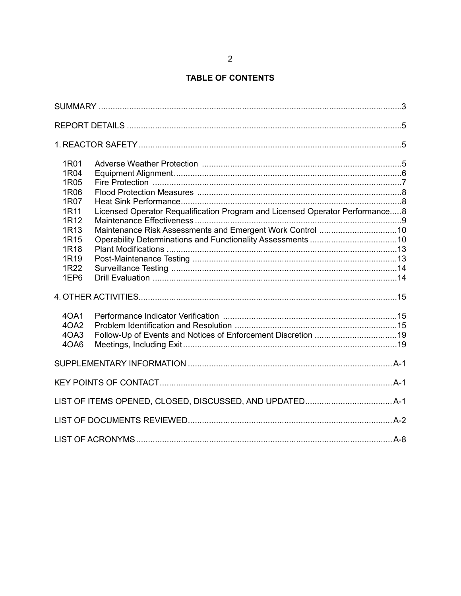## **TABLE OF CONTENTS**

| 1R01             |                                                                              |  |
|------------------|------------------------------------------------------------------------------|--|
| 1R04             |                                                                              |  |
| 1R05             |                                                                              |  |
| 1R06             |                                                                              |  |
| 1R07             |                                                                              |  |
| 1R11<br>1R12     | Licensed Operator Requalification Program and Licensed Operator Performance8 |  |
| 1R <sub>13</sub> |                                                                              |  |
| 1R <sub>15</sub> |                                                                              |  |
| 1R <sub>18</sub> |                                                                              |  |
| 1R <sub>19</sub> |                                                                              |  |
| 1R22             |                                                                              |  |
| 1EP6             |                                                                              |  |
|                  |                                                                              |  |
| 40A1             |                                                                              |  |
| 4OA2             |                                                                              |  |
| 4OA3             |                                                                              |  |
| 4OA6             |                                                                              |  |
|                  |                                                                              |  |
|                  |                                                                              |  |
|                  |                                                                              |  |
|                  |                                                                              |  |
|                  |                                                                              |  |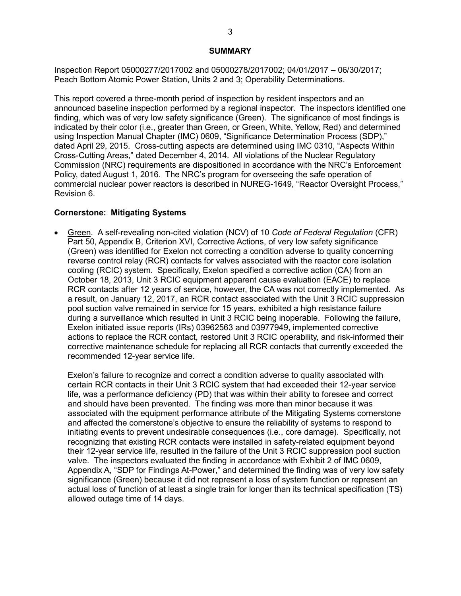#### **SUMMARY**

<span id="page-5-0"></span>Inspection Report 05000277/2017002 and 05000278/2017002; 04/01/2017 – 06/30/2017; Peach Bottom Atomic Power Station, Units 2 and 3; Operability Determinations.

This report covered a three-month period of inspection by resident inspectors and an announced baseline inspection performed by a regional inspector. The inspectors identified one finding, which was of very low safety significance (Green). The significance of most findings is indicated by their color (i.e., greater than Green, or Green, White, Yellow, Red) and determined using Inspection Manual Chapter (IMC) 0609, "Significance Determination Process (SDP)," dated April 29, 2015. Cross-cutting aspects are determined using IMC 0310, "Aspects Within Cross-Cutting Areas," dated December 4, 2014. All violations of the Nuclear Regulatory Commission (NRC) requirements are dispositioned in accordance with the NRC's Enforcement Policy, dated August 1, 2016. The NRC's program for overseeing the safe operation of commercial nuclear power reactors is described in NUREG-1649, "Reactor Oversight Process," Revision 6.

#### **Cornerstone: Mitigating Systems**

• Green. A self-revealing non-cited violation (NCV) of 10 *Code of Federal Regulation* (CFR) Part 50, Appendix B, Criterion XVI, Corrective Actions, of very low safety significance (Green) was identified for Exelon not correcting a condition adverse to quality concerning reverse control relay (RCR) contacts for valves associated with the reactor core isolation cooling (RCIC) system. Specifically, Exelon specified a corrective action (CA) from an October 18, 2013, Unit 3 RCIC equipment apparent cause evaluation (EACE) to replace RCR contacts after 12 years of service, however, the CA was not correctly implemented. As a result, on January 12, 2017, an RCR contact associated with the Unit 3 RCIC suppression pool suction valve remained in service for 15 years, exhibited a high resistance failure during a surveillance which resulted in Unit 3 RCIC being inoperable. Following the failure, Exelon initiated issue reports (IRs) 03962563 and 03977949, implemented corrective actions to replace the RCR contact, restored Unit 3 RCIC operability, and risk-informed their corrective maintenance schedule for replacing all RCR contacts that currently exceeded the recommended 12-year service life.

Exelon's failure to recognize and correct a condition adverse to quality associated with certain RCR contacts in their Unit 3 RCIC system that had exceeded their 12-year service life, was a performance deficiency (PD) that was within their ability to foresee and correct and should have been prevented. The finding was more than minor because it was associated with the equipment performance attribute of the Mitigating Systems cornerstone and affected the cornerstone's objective to ensure the reliability of systems to respond to initiating events to prevent undesirable consequences (i.e., core damage). Specifically, not recognizing that existing RCR contacts were installed in safety-related equipment beyond their 12-year service life, resulted in the failure of the Unit 3 RCIC suppression pool suction valve. The inspectors evaluated the finding in accordance with Exhibit 2 of IMC 0609, Appendix A, "SDP for Findings At-Power," and determined the finding was of very low safety significance (Green) because it did not represent a loss of system function or represent an actual loss of function of at least a single train for longer than its technical specification (TS) allowed outage time of 14 days.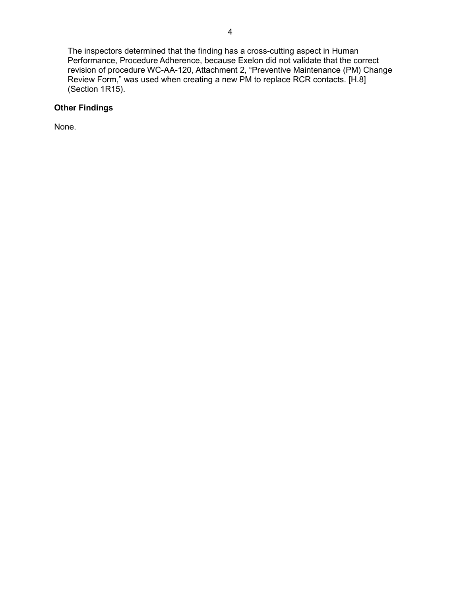The inspectors determined that the finding has a cross-cutting aspect in Human Performance, Procedure Adherence, because Exelon did not validate that the correct revision of procedure WC-AA-120, Attachment 2, "Preventive Maintenance (PM) Change Review Form," was used when creating a new PM to replace RCR contacts. [H.8] (Section 1R15).

## **Other Findings**

None.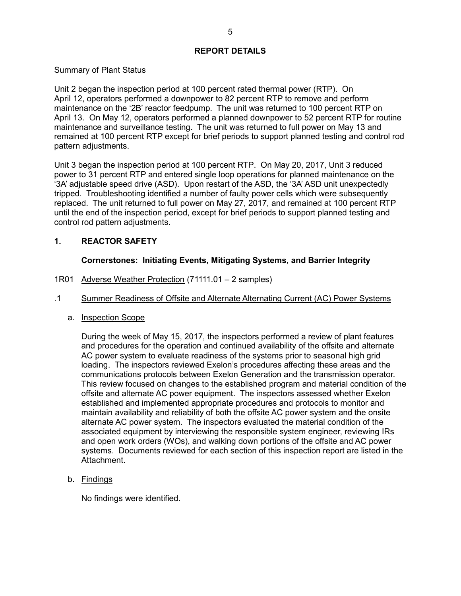#### **REPORT DETAILS**

#### <span id="page-7-0"></span>Summary of Plant Status

Unit 2 began the inspection period at 100 percent rated thermal power (RTP). On April 12, operators performed a downpower to 82 percent RTP to remove and perform maintenance on the '2B' reactor feedpump. The unit was returned to 100 percent RTP on April 13. On May 12, operators performed a planned downpower to 52 percent RTP for routine maintenance and surveillance testing. The unit was returned to full power on May 13 and remained at 100 percent RTP except for brief periods to support planned testing and control rod pattern adjustments.

Unit 3 began the inspection period at 100 percent RTP. On May 20, 2017, Unit 3 reduced power to 31 percent RTP and entered single loop operations for planned maintenance on the '3A' adjustable speed drive (ASD). Upon restart of the ASD, the '3A' ASD unit unexpectedly tripped. Troubleshooting identified a number of faulty power cells which were subsequently replaced. The unit returned to full power on May 27, 2017, and remained at 100 percent RTP until the end of the inspection period, except for brief periods to support planned testing and control rod pattern adjustments.

## <span id="page-7-1"></span>**1. REACTOR SAFETY**

## **Cornerstones: Initiating Events, Mitigating Systems, and Barrier Integrity**

- <span id="page-7-2"></span>1R01 Adverse Weather Protection (71111.01 – 2 samples)
- .1 Summer Readiness of Offsite and Alternate Alternating Current (AC) Power Systems
	- a. Inspection Scope

During the week of May 15, 2017, the inspectors performed a review of plant features and procedures for the operation and continued availability of the offsite and alternate AC power system to evaluate readiness of the systems prior to seasonal high grid loading. The inspectors reviewed Exelon's procedures affecting these areas and the communications protocols between Exelon Generation and the transmission operator. This review focused on changes to the established program and material condition of the offsite and alternate AC power equipment. The inspectors assessed whether Exelon established and implemented appropriate procedures and protocols to monitor and maintain availability and reliability of both the offsite AC power system and the onsite alternate AC power system. The inspectors evaluated the material condition of the associated equipment by interviewing the responsible system engineer, reviewing IRs and open work orders (WOs), and walking down portions of the offsite and AC power systems. Documents reviewed for each section of this inspection report are listed in the Attachment.

b. Findings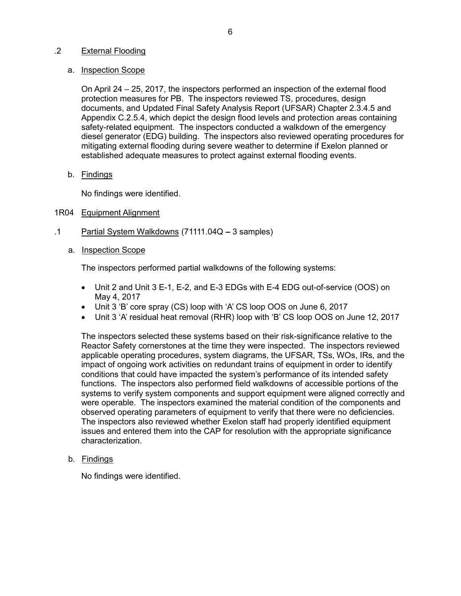#### .2 External Flooding

#### a. Inspection Scope

On April 24 – 25, 2017, the inspectors performed an inspection of the external flood protection measures for PB. The inspectors reviewed TS, procedures, design documents, and Updated Final Safety Analysis Report (UFSAR) Chapter 2.3.4.5 and Appendix C.2.5.4, which depict the design flood levels and protection areas containing safety-related equipment. The inspectors conducted a walkdown of the emergency diesel generator (EDG) building. The inspectors also reviewed operating procedures for mitigating external flooding during severe weather to determine if Exelon planned or established adequate measures to protect against external flooding events.

b. Findings

No findings were identified.

## <span id="page-8-0"></span>1R04 Equipment Alignment

- .1 Partial System Walkdowns (71111.04Q *–* 3 samples)
	- a. Inspection Scope

The inspectors performed partial walkdowns of the following systems:

- Unit 2 and Unit 3 E-1, E-2, and E-3 EDGs with E-4 EDG out-of-service (OOS) on May 4, 2017
- Unit 3 'B' core spray (CS) loop with 'A' CS loop OOS on June 6, 2017
- Unit 3 'A' residual heat removal (RHR) loop with 'B' CS loop OOS on June 12, 2017

The inspectors selected these systems based on their risk-significance relative to the Reactor Safety cornerstones at the time they were inspected. The inspectors reviewed applicable operating procedures, system diagrams, the UFSAR, TSs, WOs, IRs, and the impact of ongoing work activities on redundant trains of equipment in order to identify conditions that could have impacted the system's performance of its intended safety functions. The inspectors also performed field walkdowns of accessible portions of the systems to verify system components and support equipment were aligned correctly and were operable. The inspectors examined the material condition of the components and observed operating parameters of equipment to verify that there were no deficiencies. The inspectors also reviewed whether Exelon staff had properly identified equipment issues and entered them into the CAP for resolution with the appropriate significance characterization.

b. Findings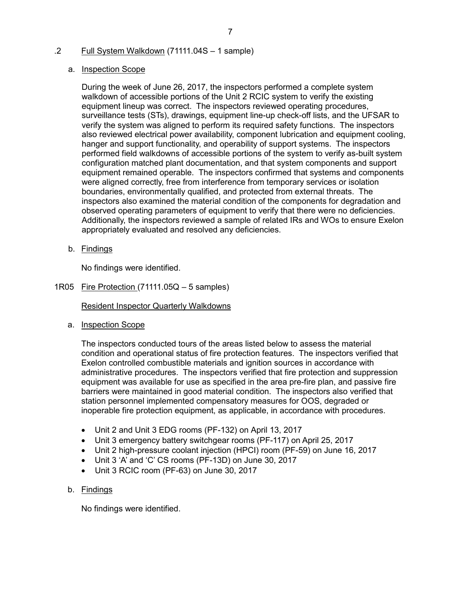## .2 Full System Walkdown (71111.04S – 1 sample)

### a. Inspection Scope

During the week of June 26, 2017, the inspectors performed a complete system walkdown of accessible portions of the Unit 2 RCIC system to verify the existing equipment lineup was correct. The inspectors reviewed operating procedures, surveillance tests (STs), drawings, equipment line-up check-off lists, and the UFSAR to verify the system was aligned to perform its required safety functions. The inspectors also reviewed electrical power availability, component lubrication and equipment cooling, hanger and support functionality, and operability of support systems. The inspectors performed field walkdowns of accessible portions of the system to verify as-built system configuration matched plant documentation, and that system components and support equipment remained operable. The inspectors confirmed that systems and components were aligned correctly, free from interference from temporary services or isolation boundaries, environmentally qualified, and protected from external threats. The inspectors also examined the material condition of the components for degradation and observed operating parameters of equipment to verify that there were no deficiencies. Additionally, the inspectors reviewed a sample of related IRs and WOs to ensure Exelon appropriately evaluated and resolved any deficiencies.

b. Findings

No findings were identified.

<span id="page-9-0"></span>1R05 Fire Protection (71111.05Q – 5 samples)

Resident Inspector Quarterly Walkdowns

a. Inspection Scope

The inspectors conducted tours of the areas listed below to assess the material condition and operational status of fire protection features. The inspectors verified that Exelon controlled combustible materials and ignition sources in accordance with administrative procedures. The inspectors verified that fire protection and suppression equipment was available for use as specified in the area pre-fire plan, and passive fire barriers were maintained in good material condition. The inspectors also verified that station personnel implemented compensatory measures for OOS, degraded or inoperable fire protection equipment, as applicable, in accordance with procedures.

- Unit 2 and Unit 3 EDG rooms (PF-132) on April 13, 2017
- Unit 3 emergency battery switchgear rooms (PF-117) on April 25, 2017
- Unit 2 high-pressure coolant injection (HPCI) room (PF-59) on June 16, 2017
- Unit 3 'A' and 'C' CS rooms (PF-13D) on June 30, 2017
- Unit 3 RCIC room (PF-63) on June 30, 2017

## b. Findings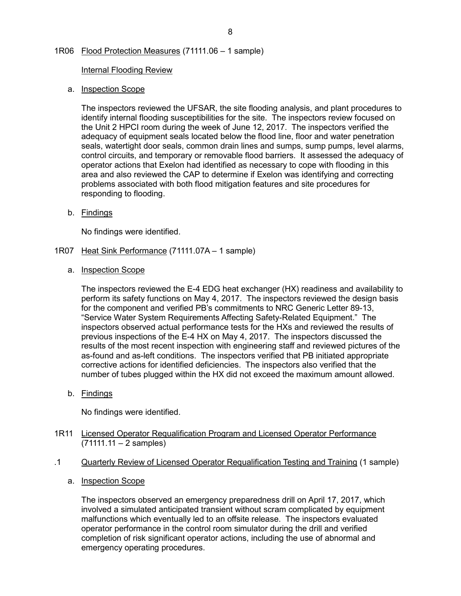## <span id="page-10-0"></span>1R06 Flood Protection Measures (71111.06 – 1 sample)

**Internal Flooding Review** 

#### a. Inspection Scope

The inspectors reviewed the UFSAR, the site flooding analysis, and plant procedures to identify internal flooding susceptibilities for the site. The inspectors review focused on the Unit 2 HPCI room during the week of June 12, 2017. The inspectors verified the adequacy of equipment seals located below the flood line, floor and water penetration seals, watertight door seals, common drain lines and sumps, sump pumps, level alarms, control circuits, and temporary or removable flood barriers. It assessed the adequacy of operator actions that Exelon had identified as necessary to cope with flooding in this area and also reviewed the CAP to determine if Exelon was identifying and correcting problems associated with both flood mitigation features and site procedures for responding to flooding.

b. Findings

No findings were identified.

- <span id="page-10-1"></span>1R07 Heat Sink Performance (71111.07A – 1 sample)
	- a. Inspection Scope

The inspectors reviewed the E-4 EDG heat exchanger (HX) readiness and availability to perform its safety functions on May 4, 2017. The inspectors reviewed the design basis for the component and verified PB's commitments to NRC Generic Letter 89-13, "Service Water System Requirements Affecting Safety-Related Equipment." The inspectors observed actual performance tests for the HXs and reviewed the results of previous inspections of the E-4 HX on May 4, 2017. The inspectors discussed the results of the most recent inspection with engineering staff and reviewed pictures of the as-found and as-left conditions. The inspectors verified that PB initiated appropriate corrective actions for identified deficiencies. The inspectors also verified that the number of tubes plugged within the HX did not exceed the maximum amount allowed.

b. Findings

No findings were identified.

- <span id="page-10-2"></span>1R11 Licensed Operator Requalification Program and Licensed Operator Performance (71111.11 – 2 samples)
- .1 Quarterly Review of Licensed Operator Requalification Testing and Training (1 sample)
	- a. Inspection Scope

The inspectors observed an emergency preparedness drill on April 17, 2017, which involved a simulated anticipated transient without scram complicated by equipment malfunctions which eventually led to an offsite release. The inspectors evaluated operator performance in the control room simulator during the drill and verified completion of risk significant operator actions, including the use of abnormal and emergency operating procedures.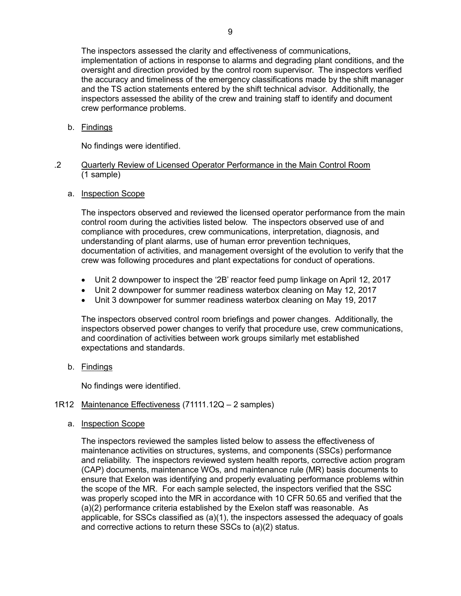The inspectors assessed the clarity and effectiveness of communications, implementation of actions in response to alarms and degrading plant conditions, and the oversight and direction provided by the control room supervisor. The inspectors verified the accuracy and timeliness of the emergency classifications made by the shift manager and the TS action statements entered by the shift technical advisor. Additionally, the inspectors assessed the ability of the crew and training staff to identify and document crew performance problems.

b. Findings

No findings were identified.

#### .2 Quarterly Review of Licensed Operator Performance in the Main Control Room (1 sample)

a. Inspection Scope

The inspectors observed and reviewed the licensed operator performance from the main control room during the activities listed below. The inspectors observed use of and compliance with procedures, crew communications, interpretation, diagnosis, and understanding of plant alarms, use of human error prevention techniques, documentation of activities, and management oversight of the evolution to verify that the crew was following procedures and plant expectations for conduct of operations.

- Unit 2 downpower to inspect the '2B' reactor feed pump linkage on April 12, 2017
- Unit 2 downpower for summer readiness waterbox cleaning on May 12, 2017
- Unit 3 downpower for summer readiness waterbox cleaning on May 19, 2017

The inspectors observed control room briefings and power changes. Additionally, the inspectors observed power changes to verify that procedure use, crew communications, and coordination of activities between work groups similarly met established expectations and standards.

b. Findings

No findings were identified.

#### <span id="page-11-0"></span>1R12 Maintenance Effectiveness (71111.12Q – 2 samples)

a. Inspection Scope

The inspectors reviewed the samples listed below to assess the effectiveness of maintenance activities on structures, systems, and components (SSCs) performance and reliability. The inspectors reviewed system health reports, corrective action program (CAP) documents, maintenance WOs, and maintenance rule (MR) basis documents to ensure that Exelon was identifying and properly evaluating performance problems within the scope of the MR. For each sample selected, the inspectors verified that the SSC was properly scoped into the MR in accordance with 10 CFR 50.65 and verified that the (a)(2) performance criteria established by the Exelon staff was reasonable. As applicable, for SSCs classified as (a)(1), the inspectors assessed the adequacy of goals and corrective actions to return these SSCs to (a)(2) status.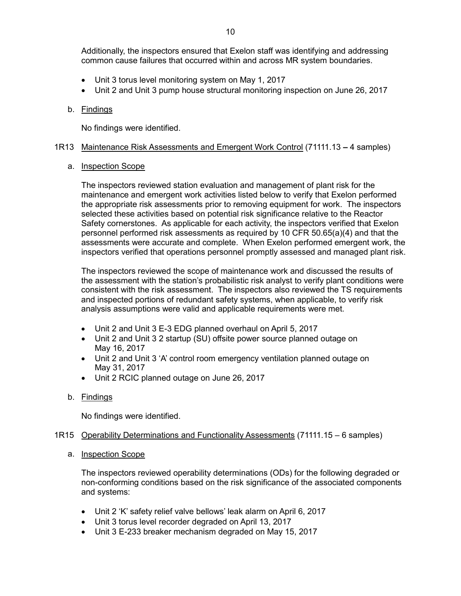Additionally, the inspectors ensured that Exelon staff was identifying and addressing common cause failures that occurred within and across MR system boundaries.

- Unit 3 torus level monitoring system on May 1, 2017
- Unit 2 and Unit 3 pump house structural monitoring inspection on June 26, 2017

### b. Findings

No findings were identified.

#### <span id="page-12-0"></span>1R13 Maintenance Risk Assessments and Emergent Work Control (71111.13 *–* 4 samples)

#### a. Inspection Scope

The inspectors reviewed station evaluation and management of plant risk for the maintenance and emergent work activities listed below to verify that Exelon performed the appropriate risk assessments prior to removing equipment for work. The inspectors selected these activities based on potential risk significance relative to the Reactor Safety cornerstones. As applicable for each activity, the inspectors verified that Exelon personnel performed risk assessments as required by 10 CFR 50.65(a)(4) and that the assessments were accurate and complete. When Exelon performed emergent work, the inspectors verified that operations personnel promptly assessed and managed plant risk.

The inspectors reviewed the scope of maintenance work and discussed the results of the assessment with the station's probabilistic risk analyst to verify plant conditions were consistent with the risk assessment. The inspectors also reviewed the TS requirements and inspected portions of redundant safety systems, when applicable, to verify risk analysis assumptions were valid and applicable requirements were met.

- Unit 2 and Unit 3 E-3 EDG planned overhaul on April 5, 2017
- Unit 2 and Unit 3 2 startup (SU) offsite power source planned outage on May 16, 2017
- Unit 2 and Unit 3 'A' control room emergency ventilation planned outage on May 31, 2017
- Unit 2 RCIC planned outage on June 26, 2017
- b. Findings

No findings were identified.

#### <span id="page-12-1"></span>1R15 Operability Determinations and Functionality Assessments (71111.15 – 6 samples)

#### a. Inspection Scope

The inspectors reviewed operability determinations (ODs) for the following degraded or non-conforming conditions based on the risk significance of the associated components and systems:

- Unit 2 'K' safety relief valve bellows' leak alarm on April 6, 2017
- Unit 3 torus level recorder degraded on April 13, 2017
- Unit 3 E-233 breaker mechanism degraded on May 15, 2017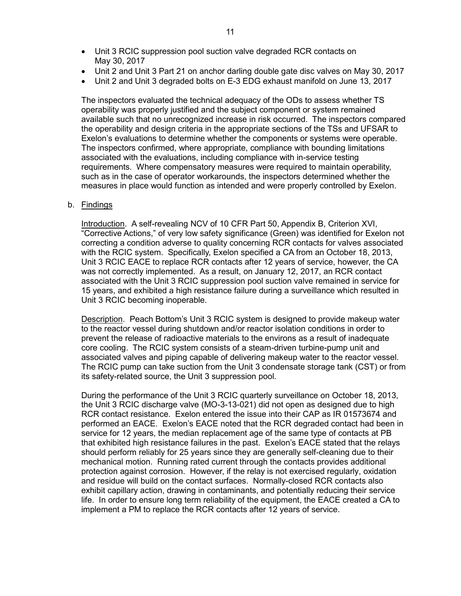- Unit 3 RCIC suppression pool suction valve degraded RCR contacts on May 30, 2017
- Unit 2 and Unit 3 Part 21 on anchor darling double gate disc valves on May 30, 2017
- Unit 2 and Unit 3 degraded bolts on E-3 EDG exhaust manifold on June 13, 2017

The inspectors evaluated the technical adequacy of the ODs to assess whether TS operability was properly justified and the subject component or system remained available such that no unrecognized increase in risk occurred. The inspectors compared the operability and design criteria in the appropriate sections of the TSs and UFSAR to Exelon's evaluations to determine whether the components or systems were operable. The inspectors confirmed, where appropriate, compliance with bounding limitations associated with the evaluations, including compliance with in-service testing requirements. Where compensatory measures were required to maintain operability, such as in the case of operator workarounds, the inspectors determined whether the measures in place would function as intended and were properly controlled by Exelon.

#### b. Findings

Introduction. A self-revealing NCV of 10 CFR Part 50, Appendix B, Criterion XVI, "Corrective Actions," of very low safety significance (Green) was identified for Exelon not correcting a condition adverse to quality concerning RCR contacts for valves associated with the RCIC system. Specifically, Exelon specified a CA from an October 18, 2013, Unit 3 RCIC EACE to replace RCR contacts after 12 years of service, however, the CA was not correctly implemented. As a result, on January 12, 2017, an RCR contact associated with the Unit 3 RCIC suppression pool suction valve remained in service for 15 years, and exhibited a high resistance failure during a surveillance which resulted in Unit 3 RCIC becoming inoperable.

Description. Peach Bottom's Unit 3 RCIC system is designed to provide makeup water to the reactor vessel during shutdown and/or reactor isolation conditions in order to prevent the release of radioactive materials to the environs as a result of inadequate core cooling. The RCIC system consists of a steam-driven turbine-pump unit and associated valves and piping capable of delivering makeup water to the reactor vessel. The RCIC pump can take suction from the Unit 3 condensate storage tank (CST) or from its safety-related source, the Unit 3 suppression pool.

During the performance of the Unit 3 RCIC quarterly surveillance on October 18, 2013, the Unit 3 RCIC discharge valve (MO-3-13-021) did not open as designed due to high RCR contact resistance. Exelon entered the issue into their CAP as IR 01573674 and performed an EACE. Exelon's EACE noted that the RCR degraded contact had been in service for 12 years, the median replacement age of the same type of contacts at PB that exhibited high resistance failures in the past. Exelon's EACE stated that the relays should perform reliably for 25 years since they are generally self-cleaning due to their mechanical motion. Running rated current through the contacts provides additional protection against corrosion. However, if the relay is not exercised regularly, oxidation and residue will build on the contact surfaces. Normally-closed RCR contacts also exhibit capillary action, drawing in contaminants, and potentially reducing their service life. In order to ensure long term reliability of the equipment, the EACE created a CA to implement a PM to replace the RCR contacts after 12 years of service.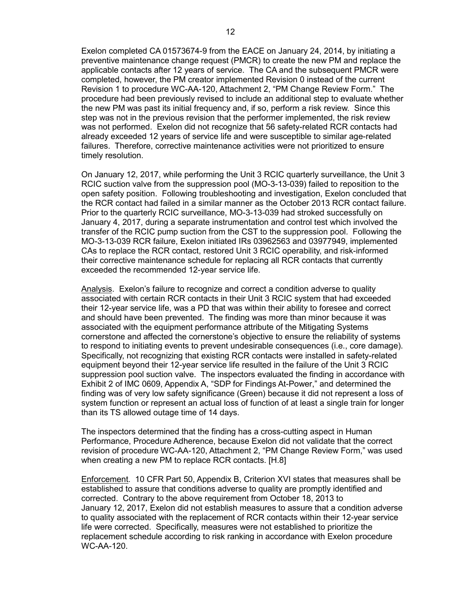Exelon completed CA 01573674-9 from the EACE on January 24, 2014, by initiating a preventive maintenance change request (PMCR) to create the new PM and replace the applicable contacts after 12 years of service. The CA and the subsequent PMCR were completed, however, the PM creator implemented Revision 0 instead of the current Revision 1 to procedure WC-AA-120, Attachment 2, "PM Change Review Form." The procedure had been previously revised to include an additional step to evaluate whether the new PM was past its initial frequency and, if so, perform a risk review. Since this step was not in the previous revision that the performer implemented, the risk review was not performed. Exelon did not recognize that 56 safety-related RCR contacts had already exceeded 12 years of service life and were susceptible to similar age-related failures. Therefore, corrective maintenance activities were not prioritized to ensure timely resolution.

On January 12, 2017, while performing the Unit 3 RCIC quarterly surveillance, the Unit 3 RCIC suction valve from the suppression pool (MO-3-13-039) failed to reposition to the open safety position. Following troubleshooting and investigation, Exelon concluded that the RCR contact had failed in a similar manner as the October 2013 RCR contact failure. Prior to the quarterly RCIC surveillance, MO-3-13-039 had stroked successfully on January 4, 2017, during a separate instrumentation and control test which involved the transfer of the RCIC pump suction from the CST to the suppression pool. Following the MO-3-13-039 RCR failure, Exelon initiated IRs 03962563 and 03977949, implemented CAs to replace the RCR contact, restored Unit 3 RCIC operability, and risk-informed their corrective maintenance schedule for replacing all RCR contacts that currently exceeded the recommended 12-year service life.

Analysis. Exelon's failure to recognize and correct a condition adverse to quality associated with certain RCR contacts in their Unit 3 RCIC system that had exceeded their 12-year service life, was a PD that was within their ability to foresee and correct and should have been prevented. The finding was more than minor because it was associated with the equipment performance attribute of the Mitigating Systems cornerstone and affected the cornerstone's objective to ensure the reliability of systems to respond to initiating events to prevent undesirable consequences (i.e., core damage). Specifically, not recognizing that existing RCR contacts were installed in safety-related equipment beyond their 12-year service life resulted in the failure of the Unit 3 RCIC suppression pool suction valve. The inspectors evaluated the finding in accordance with Exhibit 2 of IMC 0609, Appendix A, "SDP for Findings At-Power," and determined the finding was of very low safety significance (Green) because it did not represent a loss of system function or represent an actual loss of function of at least a single train for longer than its TS allowed outage time of 14 days.

The inspectors determined that the finding has a cross-cutting aspect in Human Performance, Procedure Adherence, because Exelon did not validate that the correct revision of procedure WC-AA-120, Attachment 2, "PM Change Review Form," was used when creating a new PM to replace RCR contacts. [H.8]

Enforcement. 10 CFR Part 50, Appendix B, Criterion XVI states that measures shall be established to assure that conditions adverse to quality are promptly identified and corrected. Contrary to the above requirement from October 18, 2013 to January 12, 2017, Exelon did not establish measures to assure that a condition adverse to quality associated with the replacement of RCR contacts within their 12-year service life were corrected. Specifically, measures were not established to prioritize the replacement schedule according to risk ranking in accordance with Exelon procedure WC-AA-120.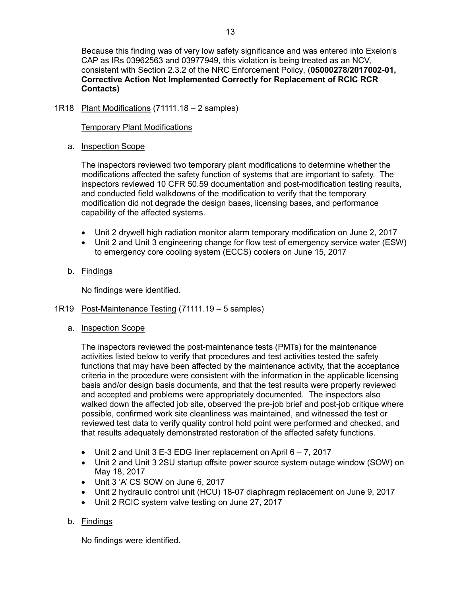Because this finding was of very low safety significance and was entered into Exelon's CAP as IRs 03962563 and 03977949, this violation is being treated as an NCV, consistent with Section 2.3.2 of the NRC Enforcement Policy, (**05000278/2017002-01, Corrective Action Not Implemented Correctly for Replacement of RCIC RCR Contacts)**

## <span id="page-15-0"></span>1R18 Plant Modifications (71111.18 – 2 samples)

#### Temporary Plant Modifications

## a. Inspection Scope

The inspectors reviewed two temporary plant modifications to determine whether the modifications affected the safety function of systems that are important to safety. The inspectors reviewed 10 CFR 50.59 documentation and post-modification testing results, and conducted field walkdowns of the modification to verify that the temporary modification did not degrade the design bases, licensing bases, and performance capability of the affected systems.

- Unit 2 drywell high radiation monitor alarm temporary modification on June 2, 2017
- Unit 2 and Unit 3 engineering change for flow test of emergency service water (ESW) to emergency core cooling system (ECCS) coolers on June 15, 2017

## b. Findings

No findings were identified.

#### <span id="page-15-1"></span>1R19 Post-Maintenance Testing (71111.19 – 5 samples)

## a. Inspection Scope

The inspectors reviewed the post-maintenance tests (PMTs) for the maintenance activities listed below to verify that procedures and test activities tested the safety functions that may have been affected by the maintenance activity, that the acceptance criteria in the procedure were consistent with the information in the applicable licensing basis and/or design basis documents, and that the test results were properly reviewed and accepted and problems were appropriately documented. The inspectors also walked down the affected job site, observed the pre-job brief and post-job critique where possible, confirmed work site cleanliness was maintained, and witnessed the test or reviewed test data to verify quality control hold point were performed and checked, and that results adequately demonstrated restoration of the affected safety functions.

- Unit 2 and Unit 3 E-3 EDG liner replacement on April 6 7, 2017
- Unit 2 and Unit 3 2SU startup offsite power source system outage window (SOW) on May 18, 2017
- Unit 3 'A' CS SOW on June 6, 2017
- Unit 2 hydraulic control unit (HCU) 18-07 diaphragm replacement on June 9, 2017
- Unit 2 RCIC system valve testing on June 27, 2017

## b. Findings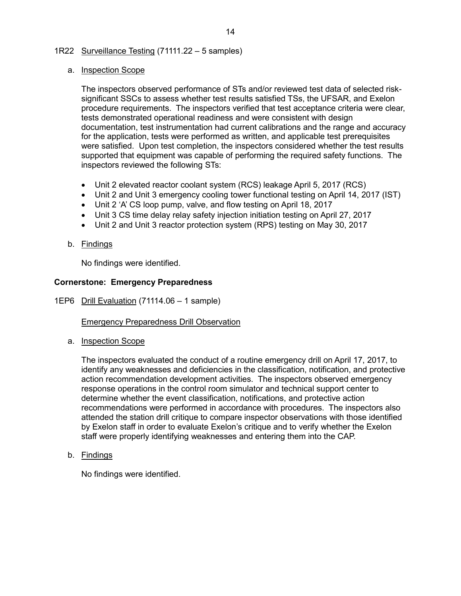## <span id="page-16-0"></span>1R22 Surveillance Testing (71111.22 – 5 samples)

#### a. Inspection Scope

The inspectors observed performance of STs and/or reviewed test data of selected risksignificant SSCs to assess whether test results satisfied TSs, the UFSAR, and Exelon procedure requirements. The inspectors verified that test acceptance criteria were clear, tests demonstrated operational readiness and were consistent with design documentation, test instrumentation had current calibrations and the range and accuracy for the application, tests were performed as written, and applicable test prerequisites were satisfied. Upon test completion, the inspectors considered whether the test results supported that equipment was capable of performing the required safety functions. The inspectors reviewed the following STs:

- Unit 2 elevated reactor coolant system (RCS) leakage April 5, 2017 (RCS)
- Unit 2 and Unit 3 emergency cooling tower functional testing on April 14, 2017 (IST)
- Unit 2 'A' CS loop pump, valve, and flow testing on April 18, 2017
- Unit 3 CS time delay relay safety injection initiation testing on April 27, 2017
- Unit 2 and Unit 3 reactor protection system (RPS) testing on May 30, 2017

## b. Findings

No findings were identified.

## <span id="page-16-1"></span>**Cornerstone: Emergency Preparedness**

1EP6 Drill Evaluation (71114.06 – 1 sample)

**Emergency Preparedness Drill Observation** 

a. Inspection Scope

The inspectors evaluated the conduct of a routine emergency drill on April 17, 2017, to identify any weaknesses and deficiencies in the classification, notification, and protective action recommendation development activities. The inspectors observed emergency response operations in the control room simulator and technical support center to determine whether the event classification, notifications, and protective action recommendations were performed in accordance with procedures. The inspectors also attended the station drill critique to compare inspector observations with those identified by Exelon staff in order to evaluate Exelon's critique and to verify whether the Exelon staff were properly identifying weaknesses and entering them into the CAP.

b. Findings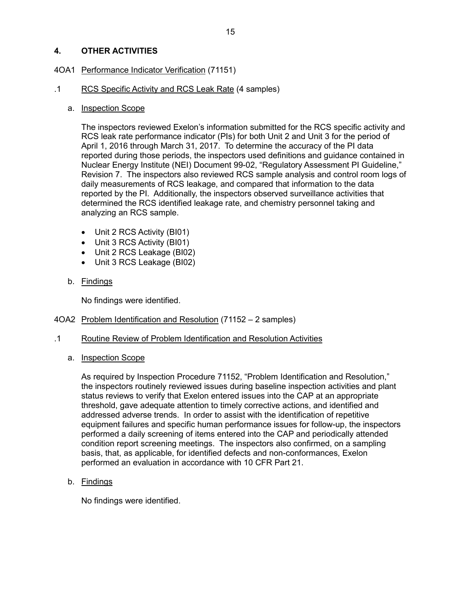## <span id="page-17-0"></span>**4. OTHER ACTIVITIES**

## <span id="page-17-1"></span>4OA1 Performance Indicator Verification (71151)

### .1 RCS Specific Activity and RCS Leak Rate (4 samples)

### a. Inspection Scope

The inspectors reviewed Exelon's information submitted for the RCS specific activity and RCS leak rate performance indicator (PIs) for both Unit 2 and Unit 3 for the period of April 1, 2016 through March 31, 2017. To determine the accuracy of the PI data reported during those periods, the inspectors used definitions and guidance contained in Nuclear Energy Institute (NEI) Document 99-02, "Regulatory Assessment PI Guideline," Revision 7. The inspectors also reviewed RCS sample analysis and control room logs of daily measurements of RCS leakage, and compared that information to the data reported by the PI. Additionally, the inspectors observed surveillance activities that determined the RCS identified leakage rate, and chemistry personnel taking and analyzing an RCS sample.

- Unit 2 RCS Activity (BI01)
- Unit 3 RCS Activity (BI01)
- Unit 2 RCS Leakage (BI02)
- Unit 3 RCS Leakage (BI02)
- b. Findings

No findings were identified.

## <span id="page-17-2"></span>4OA2 Problem Identification and Resolution (71152 – 2 samples)

- .1 Routine Review of Problem Identification and Resolution Activities
	- a. Inspection Scope

As required by Inspection Procedure 71152, "Problem Identification and Resolution," the inspectors routinely reviewed issues during baseline inspection activities and plant status reviews to verify that Exelon entered issues into the CAP at an appropriate threshold, gave adequate attention to timely corrective actions, and identified and addressed adverse trends. In order to assist with the identification of repetitive equipment failures and specific human performance issues for follow-up, the inspectors performed a daily screening of items entered into the CAP and periodically attended condition report screening meetings. The inspectors also confirmed, on a sampling basis, that, as applicable, for identified defects and non-conformances, Exelon performed an evaluation in accordance with 10 CFR Part 21.

b. Findings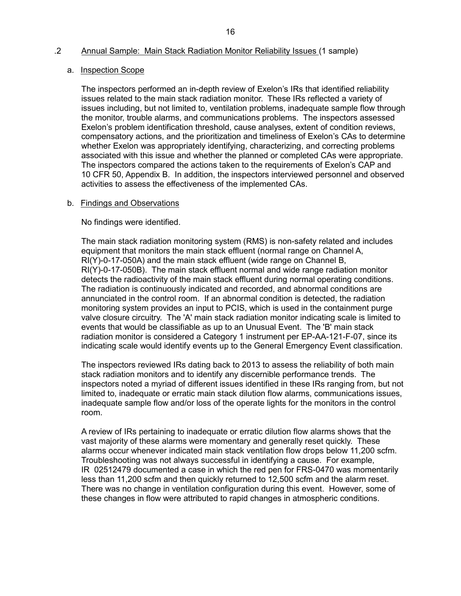#### .2 Annual Sample: Main Stack Radiation Monitor Reliability Issues (1 sample)

#### a. Inspection Scope

The inspectors performed an in-depth review of Exelon's IRs that identified reliability issues related to the main stack radiation monitor. These IRs reflected a variety of issues including, but not limited to, ventilation problems, inadequate sample flow through the monitor, trouble alarms, and communications problems. The inspectors assessed Exelon's problem identification threshold, cause analyses, extent of condition reviews, compensatory actions, and the prioritization and timeliness of Exelon's CAs to determine whether Exelon was appropriately identifying, characterizing, and correcting problems associated with this issue and whether the planned or completed CAs were appropriate. The inspectors compared the actions taken to the requirements of Exelon's CAP and 10 CFR 50, Appendix B. In addition, the inspectors interviewed personnel and observed activities to assess the effectiveness of the implemented CAs.

#### b. Findings and Observations

No findings were identified.

The main stack radiation monitoring system (RMS) is non-safety related and includes equipment that monitors the main stack effluent (normal range on Channel A, RI(Y)-0-17-050A) and the main stack effluent (wide range on Channel B, RI(Y)-0-17-050B). The main stack effluent normal and wide range radiation monitor detects the radioactivity of the main stack effluent during normal operating conditions. The radiation is continuously indicated and recorded, and abnormal conditions are annunciated in the control room. If an abnormal condition is detected, the radiation monitoring system provides an input to PCIS, which is used in the containment purge valve closure circuitry. The 'A' main stack radiation monitor indicating scale is limited to events that would be classifiable as up to an Unusual Event. The 'B' main stack radiation monitor is considered a Category 1 instrument per EP-AA-121-F-07, since its indicating scale would identify events up to the General Emergency Event classification.

The inspectors reviewed IRs dating back to 2013 to assess the reliability of both main stack radiation monitors and to identify any discernible performance trends. The inspectors noted a myriad of different issues identified in these IRs ranging from, but not limited to, inadequate or erratic main stack dilution flow alarms, communications issues, inadequate sample flow and/or loss of the operate lights for the monitors in the control room.

A review of IRs pertaining to inadequate or erratic dilution flow alarms shows that the vast majority of these alarms were momentary and generally reset quickly. These alarms occur whenever indicated main stack ventilation flow drops below 11,200 scfm. Troubleshooting was not always successful in identifying a cause. For example, IR 02512479 documented a case in which the red pen for FRS-0470 was momentarily less than 11,200 scfm and then quickly returned to 12,500 scfm and the alarm reset. There was no change in ventilation configuration during this event. However, some of these changes in flow were attributed to rapid changes in atmospheric conditions.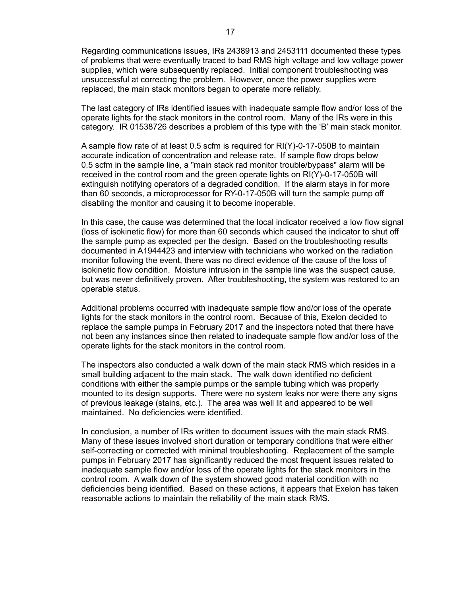Regarding communications issues, IRs 2438913 and 2453111 documented these types of problems that were eventually traced to bad RMS high voltage and low voltage power supplies, which were subsequently replaced. Initial component troubleshooting was unsuccessful at correcting the problem. However, once the power supplies were replaced, the main stack monitors began to operate more reliably.

The last category of IRs identified issues with inadequate sample flow and/or loss of the operate lights for the stack monitors in the control room. Many of the IRs were in this category. IR 01538726 describes a problem of this type with the 'B' main stack monitor.

A sample flow rate of at least 0.5 scfm is required for RI(Y)-0-17-050B to maintain accurate indication of concentration and release rate. If sample flow drops below 0.5 scfm in the sample line, a "main stack rad monitor trouble/bypass" alarm will be received in the control room and the green operate lights on RI(Y)-0-17-050B will extinguish notifying operators of a degraded condition. If the alarm stays in for more than 60 seconds, a microprocessor for RY-0-17-050B will turn the sample pump off disabling the monitor and causing it to become inoperable.

In this case, the cause was determined that the local indicator received a low flow signal (loss of isokinetic flow) for more than 60 seconds which caused the indicator to shut off the sample pump as expected per the design. Based on the troubleshooting results documented in A1944423 and interview with technicians who worked on the radiation monitor following the event, there was no direct evidence of the cause of the loss of isokinetic flow condition. Moisture intrusion in the sample line was the suspect cause, but was never definitively proven. After troubleshooting, the system was restored to an operable status.

Additional problems occurred with inadequate sample flow and/or loss of the operate lights for the stack monitors in the control room. Because of this, Exelon decided to replace the sample pumps in February 2017 and the inspectors noted that there have not been any instances since then related to inadequate sample flow and/or loss of the operate lights for the stack monitors in the control room.

The inspectors also conducted a walk down of the main stack RMS which resides in a small building adjacent to the main stack. The walk down identified no deficient conditions with either the sample pumps or the sample tubing which was properly mounted to its design supports. There were no system leaks nor were there any signs of previous leakage (stains, etc.). The area was well lit and appeared to be well maintained. No deficiencies were identified.

In conclusion, a number of IRs written to document issues with the main stack RMS. Many of these issues involved short duration or temporary conditions that were either self-correcting or corrected with minimal troubleshooting. Replacement of the sample pumps in February 2017 has significantly reduced the most frequent issues related to inadequate sample flow and/or loss of the operate lights for the stack monitors in the control room. A walk down of the system showed good material condition with no deficiencies being identified. Based on these actions, it appears that Exelon has taken reasonable actions to maintain the reliability of the main stack RMS.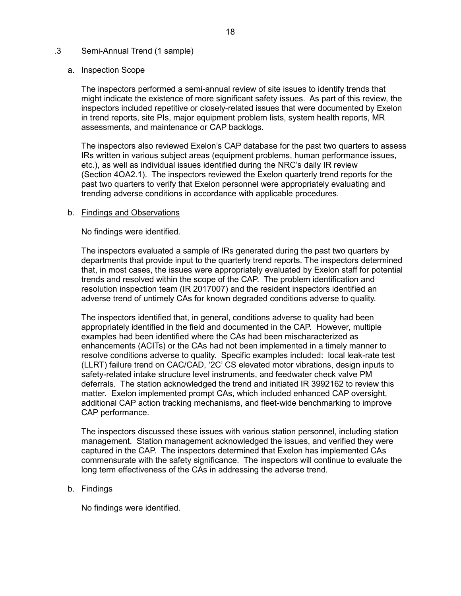#### .3 Semi-Annual Trend (1 sample)

#### a. Inspection Scope

The inspectors performed a semi-annual review of site issues to identify trends that might indicate the existence of more significant safety issues. As part of this review, the inspectors included repetitive or closely-related issues that were documented by Exelon in trend reports, site PIs, major equipment problem lists, system health reports, MR assessments, and maintenance or CAP backlogs.

The inspectors also reviewed Exelon's CAP database for the past two quarters to assess IRs written in various subject areas (equipment problems, human performance issues, etc.), as well as individual issues identified during the NRC's daily IR review (Section 4OA2.1). The inspectors reviewed the Exelon quarterly trend reports for the past two quarters to verify that Exelon personnel were appropriately evaluating and trending adverse conditions in accordance with applicable procedures.

#### b. Findings and Observations

No findings were identified.

The inspectors evaluated a sample of IRs generated during the past two quarters by departments that provide input to the quarterly trend reports. The inspectors determined that, in most cases, the issues were appropriately evaluated by Exelon staff for potential trends and resolved within the scope of the CAP. The problem identification and resolution inspection team (IR 2017007) and the resident inspectors identified an adverse trend of untimely CAs for known degraded conditions adverse to quality.

The inspectors identified that, in general, conditions adverse to quality had been appropriately identified in the field and documented in the CAP. However, multiple examples had been identified where the CAs had been mischaracterized as enhancements (ACITs) or the CAs had not been implemented in a timely manner to resolve conditions adverse to quality. Specific examples included: local leak-rate test (LLRT) failure trend on CAC/CAD, '2C' CS elevated motor vibrations, design inputs to safety-related intake structure level instruments, and feedwater check valve PM deferrals. The station acknowledged the trend and initiated IR 3992162 to review this matter. Exelon implemented prompt CAs, which included enhanced CAP oversight, additional CAP action tracking mechanisms, and fleet-wide benchmarking to improve CAP performance.

The inspectors discussed these issues with various station personnel, including station management. Station management acknowledged the issues, and verified they were captured in the CAP. The inspectors determined that Exelon has implemented CAs commensurate with the safety significance. The inspectors will continue to evaluate the long term effectiveness of the CAs in addressing the adverse trend.

#### b. Findings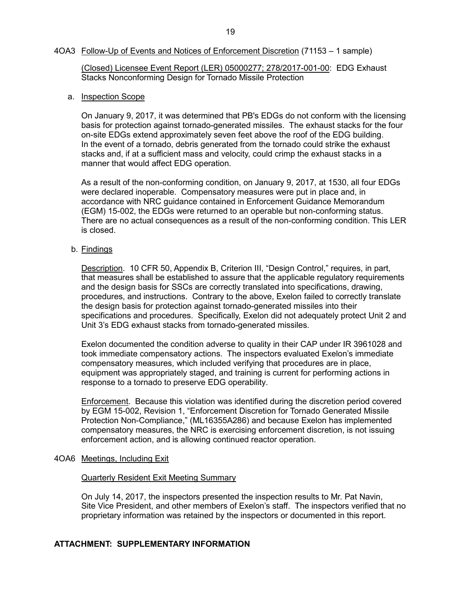#### <span id="page-21-0"></span>4OA3 Follow-Up of Events and Notices of Enforcement Discretion (71153 – 1 sample)

(Closed) Licensee Event Report (LER) 05000277; 278/2017-001-00: EDG Exhaust Stacks Nonconforming Design for Tornado Missile Protection

#### a. Inspection Scope

On January 9, 2017, it was determined that PB's EDGs do not conform with the licensing basis for protection against tornado-generated missiles. The exhaust stacks for the four on-site EDGs extend approximately seven feet above the roof of the EDG building. In the event of a tornado, debris generated from the tornado could strike the exhaust stacks and, if at a sufficient mass and velocity, could crimp the exhaust stacks in a manner that would affect EDG operation.

As a result of the non-conforming condition, on January 9, 2017, at 1530, all four EDGs were declared inoperable. Compensatory measures were put in place and, in accordance with NRC guidance contained in Enforcement Guidance Memorandum (EGM) 15-002, the EDGs were returned to an operable but non-conforming status. There are no actual consequences as a result of the non-conforming condition. This LER is closed.

b. Findings

Description. 10 CFR 50, Appendix B, Criterion III, "Design Control," requires, in part, that measures shall be established to assure that the applicable regulatory requirements and the design basis for SSCs are correctly translated into specifications, drawing, procedures, and instructions. Contrary to the above, Exelon failed to correctly translate the design basis for protection against tornado-generated missiles into their specifications and procedures. Specifically, Exelon did not adequately protect Unit 2 and Unit 3's EDG exhaust stacks from tornado-generated missiles.

Exelon documented the condition adverse to quality in their CAP under IR 3961028 and took immediate compensatory actions. The inspectors evaluated Exelon's immediate compensatory measures, which included verifying that procedures are in place, equipment was appropriately staged, and training is current for performing actions in response to a tornado to preserve EDG operability.

Enforcement. Because this violation was identified during the discretion period covered by EGM 15-002, Revision 1, "Enforcement Discretion for Tornado Generated Missile Protection Non-Compliance," (ML16355A286) and because Exelon has implemented compensatory measures, the NRC is exercising enforcement discretion, is not issuing enforcement action, and is allowing continued reactor operation.

#### <span id="page-21-1"></span>4OA6 Meetings, Including Exit

#### Quarterly Resident Exit Meeting Summary

On July 14, 2017, the inspectors presented the inspection results to Mr. Pat Navin, Site Vice President, and other members of Exelon's staff. The inspectors verified that no proprietary information was retained by the inspectors or documented in this report.

## **ATTACHMENT: SUPPLEMENTARY INFORMATION**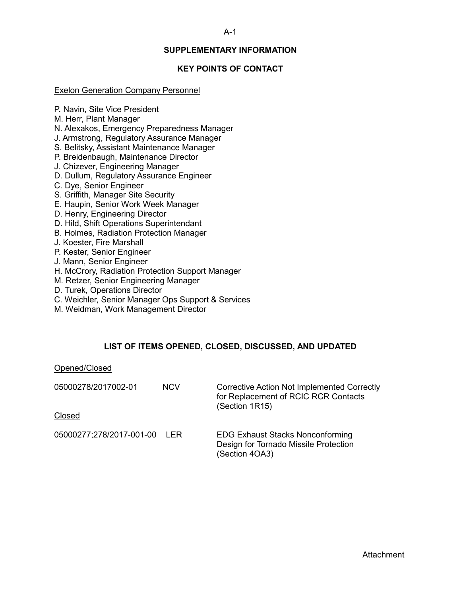#### A-1

## **SUPPLEMENTARY INFORMATION**

## **KEY POINTS OF CONTACT**

#### <span id="page-22-1"></span><span id="page-22-0"></span>Exelon Generation Company Personnel

P. Navin, Site Vice President

M. Herr, Plant Manager

N. Alexakos, Emergency Preparedness Manager

- J. Armstrong, Regulatory Assurance Manager
- S. Belitsky, Assistant Maintenance Manager
- P. Breidenbaugh, Maintenance Director
- J. Chizever, Engineering Manager
- D. Dullum, Regulatory Assurance Engineer
- C. Dye, Senior Engineer
- S. Griffith, Manager Site Security
- E. Haupin, Senior Work Week Manager
- D. Henry, Engineering Director
- D. Hild, Shift Operations Superintendant
- B. Holmes, Radiation Protection Manager
- J. Koester, Fire Marshall
- P. Kester, Senior Engineer
- J. Mann, Senior Engineer
- H. McCrory, Radiation Protection Support Manager
- M. Retzer, Senior Engineering Manager
- D. Turek, Operations Director
- C. Weichler, Senior Manager Ops Support & Services
- <span id="page-22-2"></span>M. Weidman, Work Management Director

#### **LIST OF ITEMS OPENED, CLOSED, DISCUSSED, AND UPDATED**

#### Opened/Closed

| 05000278/2017002-01          | <b>NCV</b> | <b>Corrective Action Not Implemented Correctly</b><br>for Replacement of RCIC RCR Contacts<br>(Section 1R15) |
|------------------------------|------------|--------------------------------------------------------------------------------------------------------------|
| Closed                       |            |                                                                                                              |
| 05000277;278/2017-001-00 LER |            | <b>EDG Exhaust Stacks Nonconforming</b><br>Design for Tornado Missile Protection<br>(Section 4OA3)           |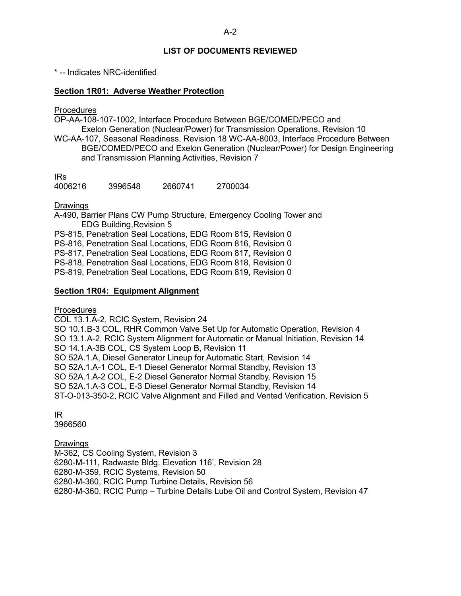## **LIST OF DOCUMENTS REVIEWED**

<span id="page-23-0"></span>\* -- Indicates NRC-identified

## **Section 1R01: Adverse Weather Protection**

**Procedures** 

OP-AA-108-107-1002, Interface Procedure Between BGE/COMED/PECO and Exelon Generation (Nuclear/Power) for Transmission Operations, Revision 10

WC-AA-107, Seasonal Readiness, Revision 18 WC-AA-8003, Interface Procedure Between BGE/COMED/PECO and Exelon Generation (Nuclear/Power) for Design Engineering and Transmission Planning Activities, Revision 7

<u>IRs</u><br>4006216 4006216 3996548 2660741 2700034

Drawings

A-490, Barrier Plans CW Pump Structure, Emergency Cooling Tower and EDG Building,Revision 5 PS-815, Penetration Seal Locations, EDG Room 815, Revision 0 PS-816, Penetration Seal Locations, EDG Room 816, Revision 0 PS-817, Penetration Seal Locations, EDG Room 817, Revision 0 PS-818, Penetration Seal Locations, EDG Room 818, Revision 0 PS-819, Penetration Seal Locations, EDG Room 819, Revision 0

## **Section 1R04: Equipment Alignment**

Procedures

COL 13.1.A-2, RCIC System, Revision 24

SO 10.1.B-3 COL, RHR Common Valve Set Up for Automatic Operation, Revision 4

SO 13.1.A-2, RCIC System Alignment for Automatic or Manual Initiation, Revision 14 SO 14.1.A-3B COL, CS System Loop B, Revision 11

SO 52A.1.A, Diesel Generator Lineup for Automatic Start, Revision 14

SO 52A.1.A-1 COL, E-1 Diesel Generator Normal Standby, Revision 13

SO 52A.1.A-2 COL, E-2 Diesel Generator Normal Standby, Revision 15

SO 52A.1.A-3 COL, E-3 Diesel Generator Normal Standby, Revision 14

ST-O-013-350-2, RCIC Valve Alignment and Filled and Vented Verification, Revision 5

IR

3966560

Drawings

M-362, CS Cooling System, Revision 3 6280-M-111, Radwaste Bldg. Elevation 116', Revision 28 6280-M-359, RCIC Systems, Revision 50 6280-M-360, RCIC Pump Turbine Details, Revision 56 6280-M-360, RCIC Pump – Turbine Details Lube Oil and Control System, Revision 47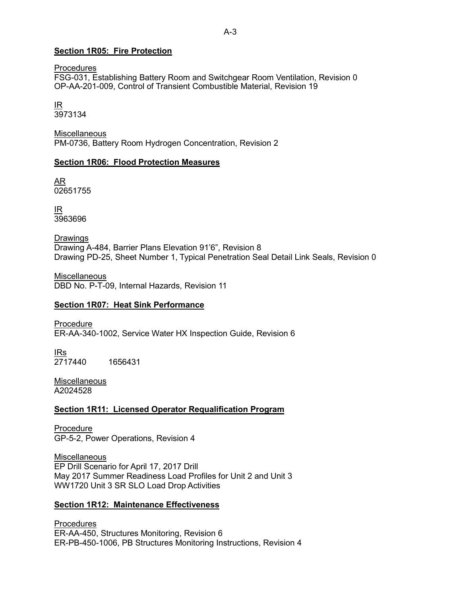### **Section 1R05: Fire Protection**

**Procedures** 

FSG-031, Establishing Battery Room and Switchgear Room Ventilation, Revision 0 OP-AA-201-009, Control of Transient Combustible Material, Revision 19

<u>IR</u> 3973134

**Miscellaneous** PM-0736, Battery Room Hydrogen Concentration, Revision 2

#### **Section 1R06: Flood Protection Measures**

AR 02651755

IR 3963696

**Drawings** Drawing A-484, Barrier Plans Elevation 91'6", Revision 8 Drawing PD-25, Sheet Number 1, Typical Penetration Seal Detail Link Seals, Revision 0

**Miscellaneous** DBD No. P-T-09, Internal Hazards, Revision 11

#### **Section 1R07: Heat Sink Performance**

Procedure ER-AA-340-1002, Service Water HX Inspection Guide, Revision 6

<u>IRs</u> 2717440 1656431

**Miscellaneous** A2024528

#### **Section 1R11: Licensed Operator Requalification Program**

Procedure GP-5-2, Power Operations, Revision 4

**Miscellaneous** EP Drill Scenario for April 17, 2017 Drill May 2017 Summer Readiness Load Profiles for Unit 2 and Unit 3 WW1720 Unit 3 SR SLO Load Drop Activities

#### **Section 1R12: Maintenance Effectiveness**

Procedures ER-AA-450, Structures Monitoring, Revision 6 ER-PB-450-1006, PB Structures Monitoring Instructions, Revision 4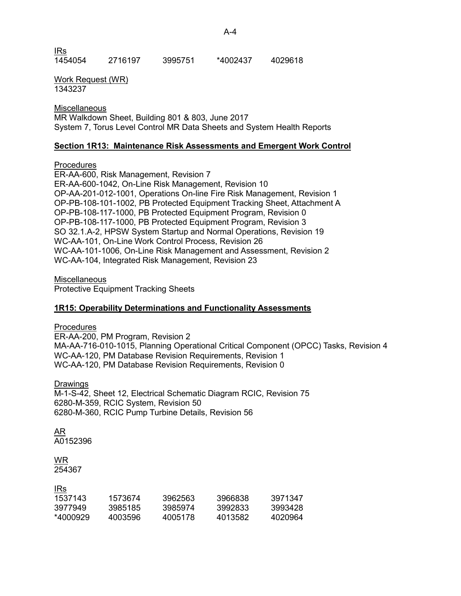<u>IRs</u><br>1454054 1454054 2716197 3995751 \*4002437 4029618

Work Request (WR) 1343237

**Miscellaneous** MR Walkdown Sheet, Building 801 & 803, June 2017 System 7, Torus Level Control MR Data Sheets and System Health Reports

## **Section 1R13: Maintenance Risk Assessments and Emergent Work Control**

## **Procedures**

ER-AA-600, Risk Management, Revision 7 ER-AA-600-1042, On-Line Risk Management, Revision 10 OP-AA-201-012-1001, Operations On-line Fire Risk Management, Revision 1 OP-PB-108-101-1002, PB Protected Equipment Tracking Sheet, Attachment A OP-PB-108-117-1000, PB Protected Equipment Program, Revision 0 OP-PB-108-117-1000, PB Protected Equipment Program, Revision 3 SO 32.1.A-2, HPSW System Startup and Normal Operations, Revision 19 WC-AA-101, On-Line Work Control Process, Revision 26 WC-AA-101-1006, On-Line Risk Management and Assessment, Revision 2 WC-AA-104, Integrated Risk Management, Revision 23

**Miscellaneous** 

Protective Equipment Tracking Sheets

## **1R15: Operability Determinations and Functionality Assessments**

**Procedures** 

ER-AA-200, PM Program, Revision 2 MA-AA-716-010-1015, Planning Operational Critical Component (OPCC) Tasks, Revision 4 WC-AA-120, PM Database Revision Requirements, Revision 1 WC-AA-120, PM Database Revision Requirements, Revision 0

Drawings

M-1-S-42, Sheet 12, Electrical Schematic Diagram RCIC, Revision 75 6280-M-359, RCIC System, Revision 50 6280-M-360, RCIC Pump Turbine Details, Revision 56

AR A0152396

# WR

IRs

254367

| 1573674 | 3962563 | 3966838 | 3971347 |
|---------|---------|---------|---------|
| 3985185 | 3985974 | 3992833 | 3993428 |
| 4003596 | 4005178 | 4013582 | 4020964 |
|         |         |         |         |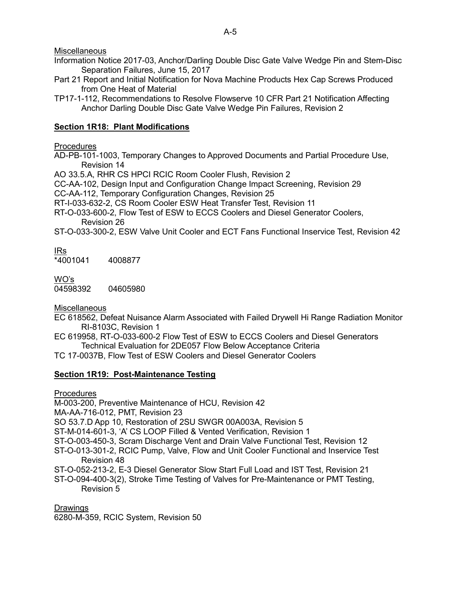**Miscellaneous** 

- Information Notice 2017-03, Anchor/Darling Double Disc Gate Valve Wedge Pin and Stem-Disc Separation Failures, June 15, 2017
- Part 21 Report and Initial Notification for Nova Machine Products Hex Cap Screws Produced from One Heat of Material
- TP17-1-112, Recommendations to Resolve Flowserve 10 CFR Part 21 Notification Affecting Anchor Darling Double Disc Gate Valve Wedge Pin Failures, Revision 2

## **Section 1R18: Plant Modifications**

## **Procedures**

- AD-PB-101-1003, Temporary Changes to Approved Documents and Partial Procedure Use, Revision 14
- AO 33.5.A, RHR CS HPCI RCIC Room Cooler Flush, Revision 2
- CC-AA-102, Design Input and Configuration Change Impact Screening, Revision 29
- CC-AA-112, Temporary Configuration Changes, Revision 25
- RT-I-033-632-2, CS Room Cooler ESW Heat Transfer Test, Revision 11
- RT-O-033-600-2, Flow Test of ESW to ECCS Coolers and Diesel Generator Coolers, Revision 26
- ST-O-033-300-2, ESW Valve Unit Cooler and ECT Fans Functional Inservice Test, Revision 42

## IRs

 $*4001041$  4008877

## WO's

04598392 04605980

**Miscellaneous** 

- EC 618562, Defeat Nuisance Alarm Associated with Failed Drywell Hi Range Radiation Monitor RI-8103C, Revision 1
- EC 619958, RT-O-033-600-2 Flow Test of ESW to ECCS Coolers and Diesel Generators Technical Evaluation for 2DE057 Flow Below Acceptance Criteria
- TC 17-0037B, Flow Test of ESW Coolers and Diesel Generator Coolers

## **Section 1R19: Post-Maintenance Testing**

**Procedures** 

M-003-200, Preventive Maintenance of HCU, Revision 42

MA-AA-716-012, PMT, Revision 23

SO 53.7.D App 10, Restoration of 2SU SWGR 00A003A, Revision 5

ST-M-014-601-3, 'A' CS LOOP Filled & Vented Verification, Revision 1

- ST-O-003-450-3, Scram Discharge Vent and Drain Valve Functional Test, Revision 12
- ST-O-013-301-2, RCIC Pump, Valve, Flow and Unit Cooler Functional and Inservice Test Revision 48
- ST-O-052-213-2, E-3 Diesel Generator Slow Start Full Load and IST Test, Revision 21
- ST-O-094-400-3(2), Stroke Time Testing of Valves for Pre-Maintenance or PMT Testing, Revision 5

Drawings 6280-M-359, RCIC System, Revision 50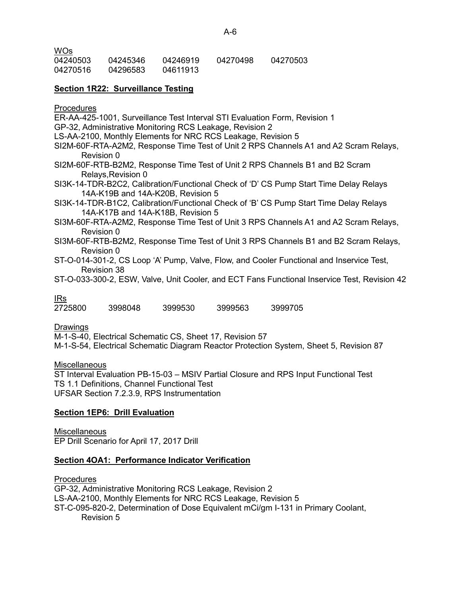| .        |          |          |          |          |
|----------|----------|----------|----------|----------|
| 04240503 | 04245346 | 04246919 | 04270498 | 04270503 |
| 04270516 | 04296583 | 04611913 |          |          |

## **Section 1R22: Surveillance Testing**

**Procedures** 

WOs

ER-AA-425-1001, Surveillance Test Interval STI Evaluation Form, Revision 1 GP-32, Administrative Monitoring RCS Leakage, Revision 2 LS-AA-2100, Monthly Elements for NRC RCS Leakage, Revision 5 SI2M-60F-RTA-A2M2, Response Time Test of Unit 2 RPS Channels A1 and A2 Scram Relays, Revision 0 SI2M-60F-RTB-B2M2, Response Time Test of Unit 2 RPS Channels B1 and B2 Scram Relays,Revision 0 SI3K-14-TDR-B2C2, Calibration/Functional Check of 'D' CS Pump Start Time Delay Relays 14A-K19B and 14A-K20B, Revision 5 SI3K-14-TDR-B1C2, Calibration/Functional Check of 'B' CS Pump Start Time Delay Relays 14A-K17B and 14A-K18B, Revision 5 SI3M-60F-RTA-A2M2, Response Time Test of Unit 3 RPS Channels A1 and A2 Scram Relays, Revision 0 SI3M-60F-RTB-B2M2, Response Time Test of Unit 3 RPS Channels B1 and B2 Scram Relays, Revision 0 ST-O-014-301-2, CS Loop 'A' Pump, Valve, Flow, and Cooler Functional and Inservice Test, Revision 38 ST-O-033-300-2, ESW, Valve, Unit Cooler, and ECT Fans Functional Inservice Test, Revision 42

<u>IRs</u><br>2725800 2725800 3998048 3999530 3999563 3999705

Drawings

M-1-S-40, Electrical Schematic CS, Sheet 17, Revision 57

M-1-S-54, Electrical Schematic Diagram Reactor Protection System, Sheet 5, Revision 87

**Miscellaneous** 

ST Interval Evaluation PB-15-03 – MSIV Partial Closure and RPS Input Functional Test TS 1.1 Definitions, Channel Functional Test UFSAR Section 7.2.3.9, RPS Instrumentation

#### **Section 1EP6: Drill Evaluation**

**Miscellaneous** EP Drill Scenario for April 17, 2017 Drill

#### **Section 4OA1: Performance Indicator Verification**

**Procedures** GP-32, Administrative Monitoring RCS Leakage, Revision 2 LS-AA-2100, Monthly Elements for NRC RCS Leakage, Revision 5 ST-C-095-820-2, Determination of Dose Equivalent mCi/gm I-131 in Primary Coolant, Revision 5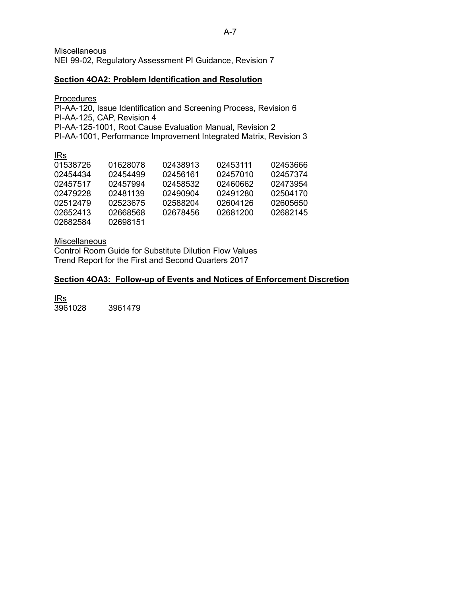**Miscellaneous** 

NEI 99-02, Regulatory Assessment PI Guidance, Revision 7

## **Section 4OA2: Problem Identification and Resolution**

## **Procedures**

PI-AA-120, Issue Identification and Screening Process, Revision 6 PI-AA-125, CAP, Revision 4 PI-AA-125-1001, Root Cause Evaluation Manual, Revision 2 PI-AA-1001, Performance Improvement Integrated Matrix, Revision 3

| <u>IRs</u> |          |          |          |          |
|------------|----------|----------|----------|----------|
| 01538726   | 01628078 | 02438913 | 02453111 | 02453666 |
| 02454434   | 02454499 | 02456161 | 02457010 | 02457374 |
| 02457517   | 02457994 | 02458532 | 02460662 | 02473954 |
| 02479228   | 02481139 | 02490904 | 02491280 | 02504170 |
| 02512479   | 02523675 | 02588204 | 02604126 | 02605650 |
| 02652413   | 02668568 | 02678456 | 02681200 | 02682145 |
| 02682584   | 02698151 |          |          |          |
|            |          |          |          |          |

Miscellaneous

**Control Room Guide for Substitute Dilution Flow Values** Trend Report for the First and Second Quarters 2017

## **Section 4OA3: Follow-up of Events and Notices of Enforcement Discretion**

IRs 3961028 3961479